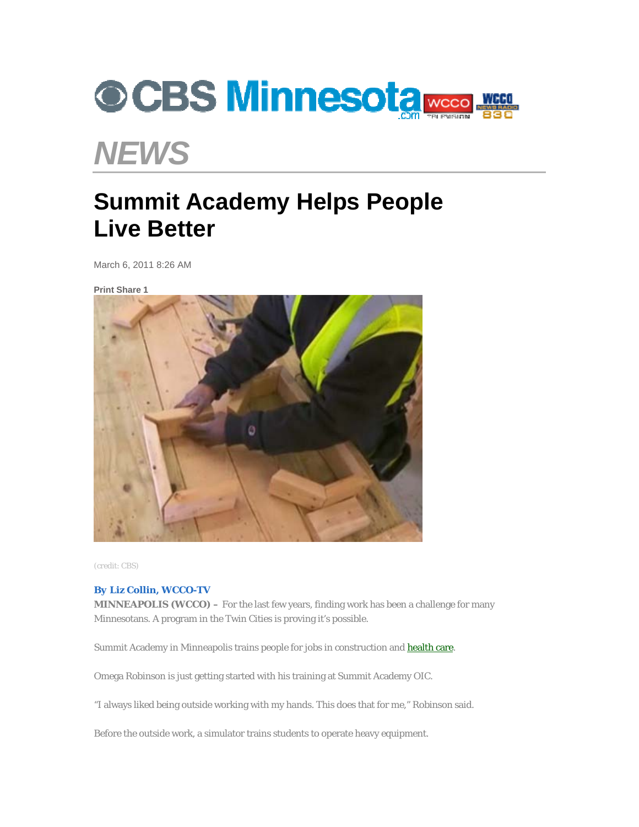

## *NEWS*

## **Summit Academy Helps People Live Better**

March 6, 2011 8:26 AM

**Print Share 1**



(credit: CBS)

## *By Liz Collin, WCCO-TV*

**MINNEAPOLIS (WCCO) –** For the last few years, finding work has been a challenge for many Minnesotans. A program in the Twin Cities is proving it's possible.

Summit Academy in Minneapolis trains people for jobs in construction and health care.

Omega Robinson is just getting started with his training at Summit Academy OIC.

"I always liked being outside working with my hands. This does that for me," Robinson said.

Before the outside work, a simulator trains students to operate heavy equipment.